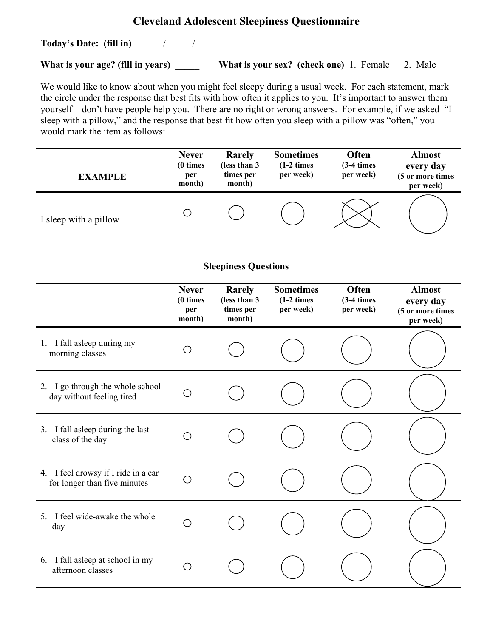## **Cleveland Adolescent Sleepiness Questionnaire**

**Today's Date:** (fill in)  $\frac{1}{2}$  \_\_\_/ \_\_\_

What is your age? (fill in years) What is your sex? (check one) 1. Female 2. Male

We would like to know about when you might feel sleepy during a usual week. For each statement, mark the circle under the response that best fits with how often it applies to you. It's important to answer them yourself – don't have people help you. There are no right or wrong answers. For example, if we asked "I sleep with a pillow," and the response that best fit how often you sleep with a pillow was "often," you would mark the item as follows:

| <b>EXAMPLE</b>                                                      | <b>Never</b><br>(0 times<br>per<br>month) | Rarely<br>(less than 3<br>times per<br>month) | <b>Sometimes</b><br>$(1-2 \times)$<br>per week) | Often<br>$(3-4 \times)$<br>per week) | <b>Almost</b><br>every day<br>(5 or more times<br>per week) |
|---------------------------------------------------------------------|-------------------------------------------|-----------------------------------------------|-------------------------------------------------|--------------------------------------|-------------------------------------------------------------|
| I sleep with a pillow                                               | O                                         |                                               |                                                 |                                      |                                                             |
| <b>Sleepiness Questions</b>                                         |                                           |                                               |                                                 |                                      |                                                             |
|                                                                     | <b>Never</b><br>(0 times<br>per<br>month) | Rarely<br>(less than 3<br>times per<br>month) | <b>Sometimes</b><br>$(1-2 \times)$<br>per week) | Often<br>$(3-4 \times)$<br>per week) | <b>Almost</b><br>every day<br>(5 or more times<br>per week) |
| 1. I fall asleep during my<br>morning classes                       | O                                         |                                               |                                                 |                                      |                                                             |
| 2. I go through the whole school<br>day without feeling tired       | O                                         |                                               |                                                 |                                      |                                                             |
| 3. I fall asleep during the last<br>class of the day                | О                                         |                                               |                                                 |                                      |                                                             |
| 4. I feel drowsy if I ride in a car<br>for longer than five minutes | $\left(\ \right)$                         |                                               |                                                 |                                      |                                                             |
| 5. I feel wide-awake the whole<br>day                               | ( )                                       |                                               |                                                 |                                      |                                                             |
| 6. I fall asleep at school in my<br>afternoon classes               | ( )                                       |                                               |                                                 |                                      |                                                             |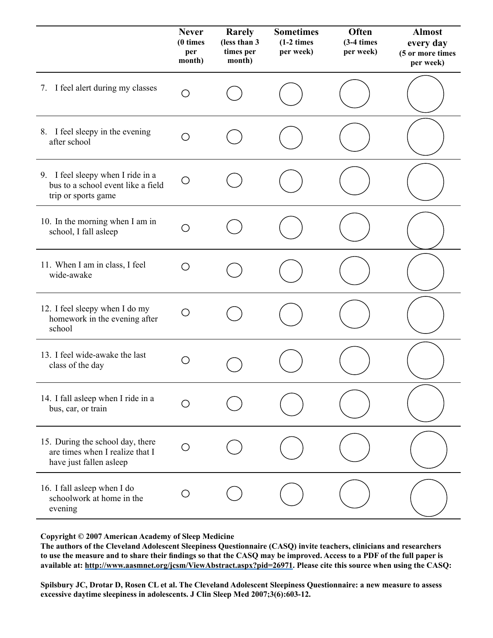|                                                                                                | <b>Never</b><br>(0 times<br>per<br>month) | Rarely<br>(less than 3<br>times per<br>month) | <b>Sometimes</b><br>$(1-2 \times)$<br>per week) | Often<br>$(3-4 \times)$<br>per week) | <b>Almost</b><br>every day<br>(5 or more times<br>per week) |
|------------------------------------------------------------------------------------------------|-------------------------------------------|-----------------------------------------------|-------------------------------------------------|--------------------------------------|-------------------------------------------------------------|
| 7. I feel alert during my classes                                                              | O                                         |                                               |                                                 |                                      |                                                             |
| 8. I feel sleepy in the evening<br>after school                                                | ◯                                         |                                               |                                                 |                                      |                                                             |
| 9. I feel sleepy when I ride in a<br>bus to a school event like a field<br>trip or sports game | О                                         |                                               |                                                 |                                      |                                                             |
| 10. In the morning when I am in<br>school, I fall asleep                                       | ()                                        |                                               |                                                 |                                      |                                                             |
| 11. When I am in class, I feel<br>wide-awake                                                   | О                                         |                                               |                                                 |                                      |                                                             |
| 12. I feel sleepy when I do my<br>homework in the evening after<br>school                      | O                                         |                                               |                                                 |                                      |                                                             |
| 13. I feel wide-awake the last<br>class of the day                                             | ( )                                       |                                               |                                                 |                                      |                                                             |
| 14. I fall asleep when I ride in a<br>bus, car, or train                                       |                                           |                                               |                                                 |                                      |                                                             |
| 15. During the school day, there<br>are times when I realize that I<br>have just fallen asleep | O                                         |                                               |                                                 |                                      |                                                             |
| 16. I fall asleep when I do<br>schoolwork at home in the<br>evening                            |                                           |                                               |                                                 |                                      |                                                             |

Copyright © 2007 American Academy of Sleep Medicine. **Copyright © 2007 American Academy of Sleep Medicine**

The authors of the Cleveland Adolescent Sleepiness Questionnaire (CASQ) invite teachers, clinicians and researchers to use the measure and to share their findings so that the CASQ may be improved. Access to a PDF of the full paper is<br> **the condition is the full paper** is **the condition of the full paper** is **the condition of the full pa** available at: <u>http://www.aasmnet.org/jcsm/ViewAbstract.aspx?pid=26971</u>. Please cite this source when using the CASQ:<br>.

excessive daytime sleepiness in adolescents. J Clin Sleep Med 2007;3(6):603-12. **Spilsbury JC, Drotar D, Rosen CL et al. The Cleveland Adolescent Sleepiness Questionnaire: a new measure to assess**